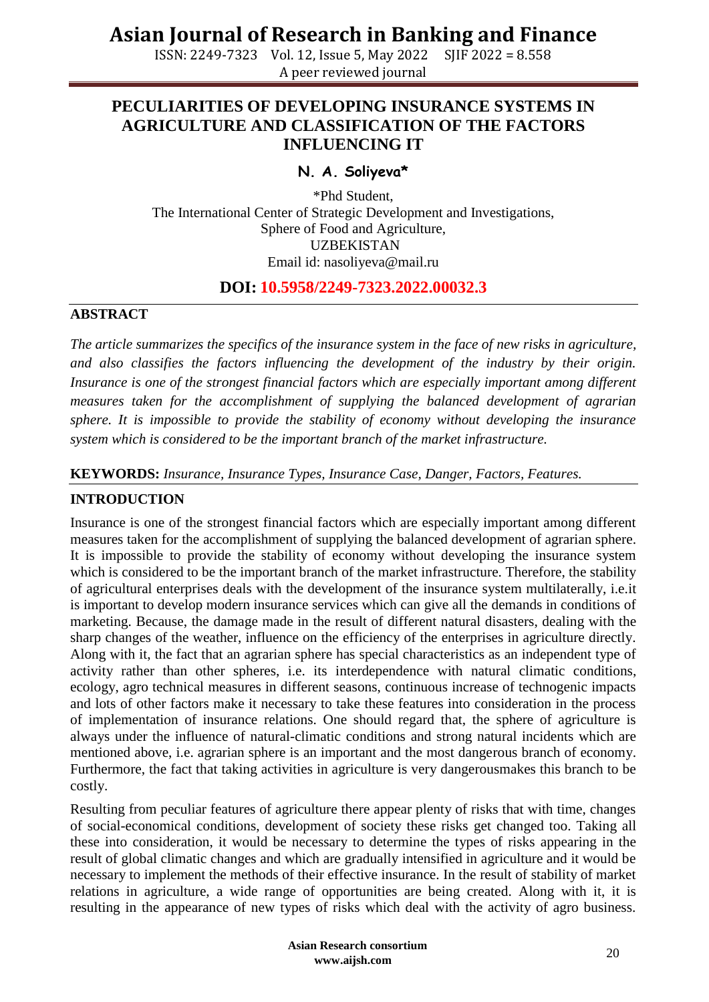ISSN: 2249-7323 Vol. 12, Issue 5, May 2022 SJIF 2022 = 8.558 A peer reviewed journal

## **PECULIARITIES OF DEVELOPING INSURANCE SYSTEMS IN AGRICULTURE AND CLASSIFICATION OF THE FACTORS INFLUENCING IT**

## **N. A. Soliyeva\***

\*Phd Student, The International Center of Strategic Development and Investigations, Sphere of Food and Agriculture, UZBEKISTAN Email id: [nasoliyeva@mail.ru](mailto:nasoliyeva@mail.ru)

### **DOI: 10.5958/2249-7323.2022.00032.3**

#### **ABSTRACT**

*The article summarizes the specifics of the insurance system in the face of new risks in agriculture, and also classifies the factors influencing the development of the industry by their origin. Insurance is one of the strongest financial factors which are especially important among different measures taken for the accomplishment of supplying the balanced development of agrarian sphere. It is impossible to provide the stability of economy without developing the insurance system which is considered to be the important branch of the market infrastructure.*

#### **KEYWORDS:** *Insurance, Insurance Types, Insurance Case, Danger, Factors, Features.*

### **INTRODUCTION**

Insurance is one of the strongest financial factors which are especially important among different measures taken for the accomplishment of supplying the balanced development of agrarian sphere. It is impossible to provide the stability of economy without developing the insurance system which is considered to be the important branch of the market infrastructure. Therefore, the stability of agricultural enterprises deals with the development of the insurance system multilaterally, i.e.it is important to develop modern insurance services which can give all the demands in conditions of marketing. Because, the damage made in the result of different natural disasters, dealing with the sharp changes of the weather, influence on the efficiency of the enterprises in agriculture directly. Along with it, the fact that an agrarian sphere has special characteristics as an independent type of activity rather than other spheres, i.e. its interdependence with natural climatic conditions, ecology, agro technical measures in different seasons, continuous increase of technogenic impacts and lots of other factors make it necessary to take these features into consideration in the process of implementation of insurance relations. One should regard that, the sphere of agriculture is always under the influence of natural-climatic conditions and strong natural incidents which are mentioned above, i.e. agrarian sphere is an important and the most dangerous branch of economy. Furthermore, the fact that taking activities in agriculture is very dangerousmakes this branch to be costly.

Resulting from peculiar features of agriculture there appear plenty of risks that with time, changes of social-economical conditions, development of society these risks get changed too. Taking all these into consideration, it would be necessary to determine the types of risks appearing in the result of global climatic changes and which are gradually intensified in agriculture and it would be necessary to implement the methods of their effective insurance. In the result of stability of market relations in agriculture, a wide range of opportunities are being created. Along with it, it is resulting in the appearance of new types of risks which deal with the activity of agro business.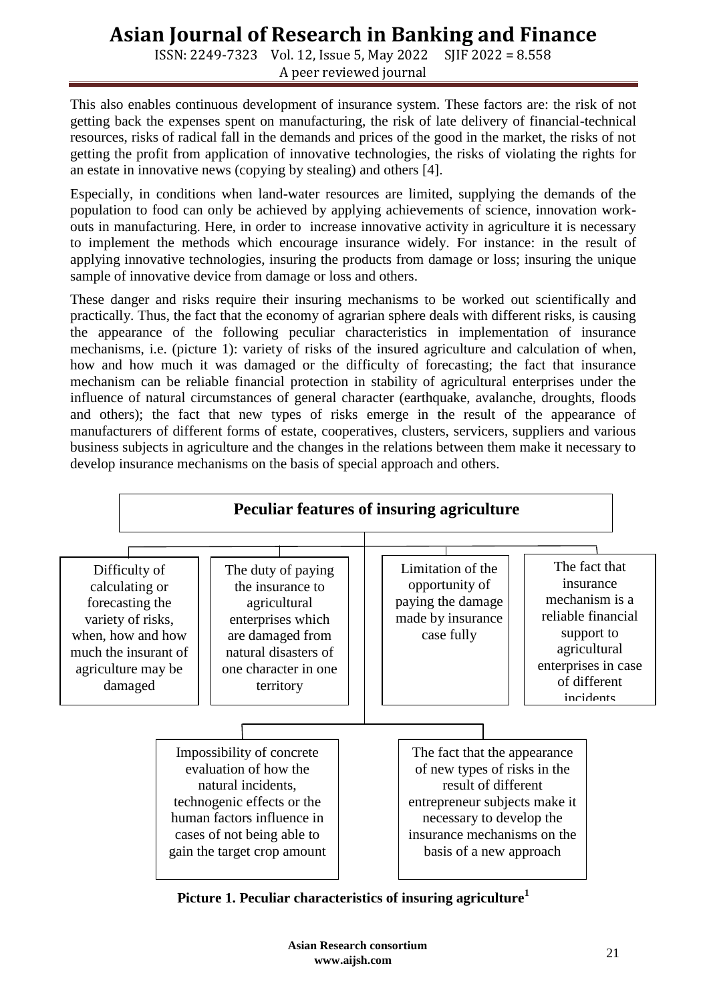ISSN: 2249-7323 Vol. 12, Issue 5, May 2022 SJIF 2022 = 8.558 A peer reviewed journal

This also enables continuous development of insurance system. These factors are: the risk of not getting back the expenses spent on manufacturing, the risk of late delivery of financial-technical resources, risks of radical fall in the demands and prices of the good in the market, the risks of not getting the profit from application of innovative technologies, the risks of violating the rights for an estate in innovative news (copying by stealing) and others [4].

Especially, in conditions when land-water resources are limited, supplying the demands of the population to food can only be achieved by applying achievements of science, innovation workouts in manufacturing. Here, in order to increase innovative activity in agriculture it is necessary to implement the methods which encourage insurance widely. For instance: in the result of applying innovative technologies, insuring the products from damage or loss; insuring the unique sample of innovative device from damage or loss and others.

These danger and risks require their insuring mechanisms to be worked out scientifically and practically. Thus, the fact that the economy of agrarian sphere deals with different risks, is causing the appearance of the following peculiar characteristics in implementation of insurance mechanisms, i.e. (picture 1): variety of risks of the insured agriculture and calculation of when, how and how much it was damaged or the difficulty of forecasting; the fact that insurance mechanism can be reliable financial protection in stability of agricultural enterprises under the influence of natural circumstances of general character (earthquake, avalanche, droughts, floods and others); the fact that new types of risks emerge in the result of the appearance of manufacturers of different forms of estate, cooperatives, clusters, servicers, suppliers and various business subjects in agriculture and the changes in the relations between them make it necessary to develop insurance mechanisms on the basis of special approach and others.



**Picture 1. Peculiar characteristics of insuring agriculture<sup>1</sup>**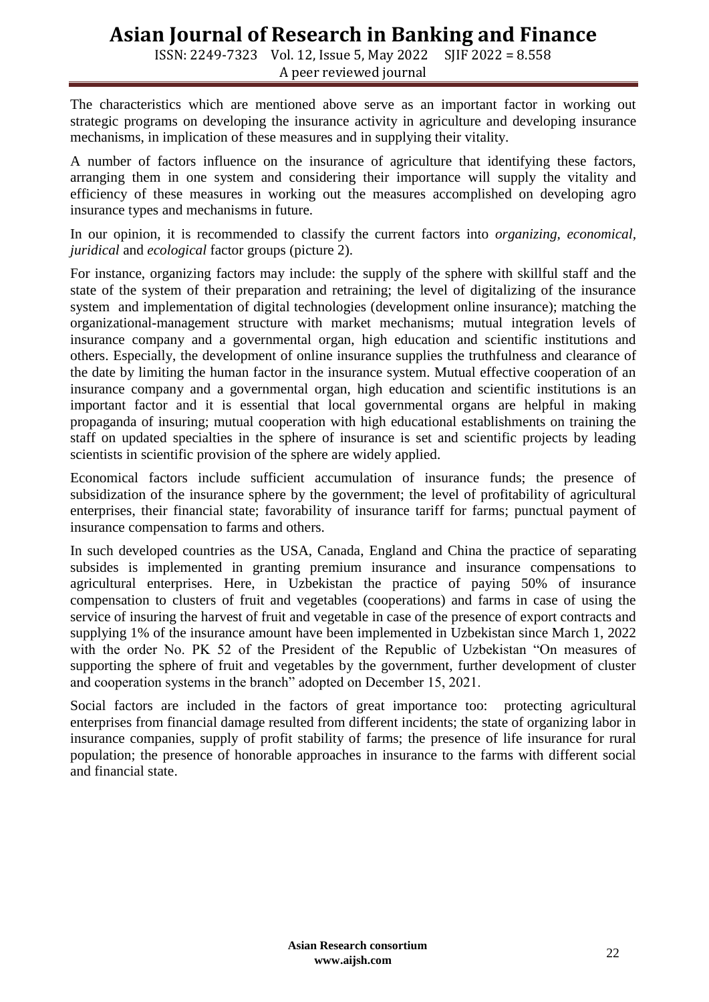ISSN: 2249-7323 Vol. 12, Issue 5, May 2022 SJIF 2022 = 8.558 A peer reviewed journal

The characteristics which are mentioned above serve as an important factor in working out strategic programs on developing the insurance activity in agriculture and developing insurance mechanisms, in implication of these measures and in supplying their vitality.

A number of factors influence on the insurance of agriculture that identifying these factors, arranging them in one system and considering their importance will supply the vitality and efficiency of these measures in working out the measures accomplished on developing agro insurance types and mechanisms in future.

In our opinion, it is recommended to classify the current factors into *organizing, economical, juridical* and *ecological* factor groups (picture 2).

For instance, organizing factors may include: the supply of the sphere with skillful staff and the state of the system of their preparation and retraining; the level of digitalizing of the insurance system and implementation of digital technologies (development online insurance); matching the organizational-management structure with market mechanisms; mutual integration levels of insurance company and a governmental organ, high education and scientific institutions and others. Especially, the development of online insurance supplies the truthfulness and clearance of the date by limiting the human factor in the insurance system. Mutual effective cooperation of an insurance company and a governmental organ, high education and scientific institutions is an important factor and it is essential that local governmental organs are helpful in making propaganda of insuring; mutual cooperation with high educational establishments on training the staff on updated specialties in the sphere of insurance is set and scientific projects by leading scientists in scientific provision of the sphere are widely applied.

Economical factors include sufficient accumulation of insurance funds; the presence of subsidization of the insurance sphere by the government; the level of profitability of agricultural enterprises, their financial state; favorability of insurance tariff for farms; punctual payment of insurance compensation to farms and others.

In such developed countries as the USA, Canada, England and China the practice of separating subsides is implemented in granting premium insurance and insurance compensations to agricultural enterprises. Here, in Uzbekistan the practice of paying 50% of insurance compensation to clusters of fruit and vegetables (cooperations) and farms in case of using the service of insuring the harvest of fruit and vegetable in case of the presence of export contracts and supplying 1% of the insurance amount have been implemented in Uzbekistan since March 1, 2022 with the order No. PK 52 of the President of the Republic of Uzbekistan "On measures of supporting the sphere of fruit and vegetables by the government, further development of cluster and cooperation systems in the branch" adopted on December 15, 2021.

Social factors are included in the factors of great importance too: protecting agricultural enterprises from financial damage resulted from different incidents; the state of organizing labor in insurance companies, supply of profit stability of farms; the presence of life insurance for rural population; the presence of honorable approaches in insurance to the farms with different social and financial state.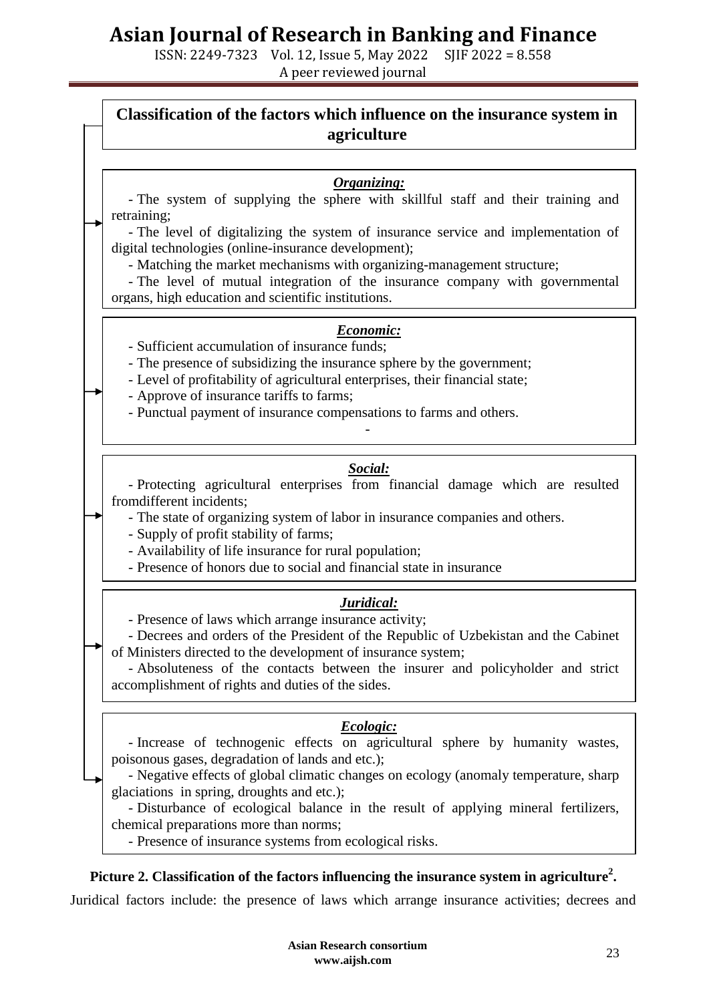ISSN: 2249-7323 Vol. 12, Issue 5, May 2022 SJIF 2022 = 8.558 A peer reviewed journal

## **Classification of the factors which influence on the insurance system in agriculture**

### *Organizing:*

- The system of supplying the sphere with skillful staff and their training and retraining;

- The level of digitalizing the system of insurance service and implementation of digital technologies (online-insurance development);

- Matching the market mechanisms with organizing-management structure;

- The level of mutual integration of the insurance company with governmental organs, high education and scientific institutions.

### *Economic:*

- Sufficient accumulation of insurance funds;

- The presence of subsidizing the insurance sphere by the government;

- Level of profitability of agricultural enterprises, their financial state;

- Approve of insurance tariffs to farms;

- Punctual payment of insurance compensations to farms and others.

### *Social:*

-

- Protecting agricultural enterprises from financial damage which are resulted fromdifferent incidents;

- The state of organizing system of labor in insurance companies and others.

- Supply of profit stability of farms;

-

- Availability of life insurance for rural population;

- Presence of honors due to social and financial state in insurance

### *Juridical:*

- Presence of laws which arrange insurance activity;

- Decrees and orders of the President of the Republic of Uzbekistan and the Cabinet of Ministers directed to the development of insurance system;

- Absoluteness of the contacts between the insurer and policyholder and strict accomplishment of rights and duties of the sides.

## *Ecologic:*

- Increase of technogenic effects on agricultural sphere by humanity wastes, poisonous gases, degradation of lands and etc.);

- Negative effects of global climatic changes on ecology (anomaly temperature, sharp glaciations in spring, droughts and etc.);

- Disturbance of ecological balance in the result of applying mineral fertilizers, chemical preparations more than norms;

- Presence of insurance systems from ecological risks.

## **Picture 2. Classification of the factors influencing the insurance system in agriculture<sup>2</sup> .**

Juridical factors include: the presence of laws which arrange insurance activities; decrees and